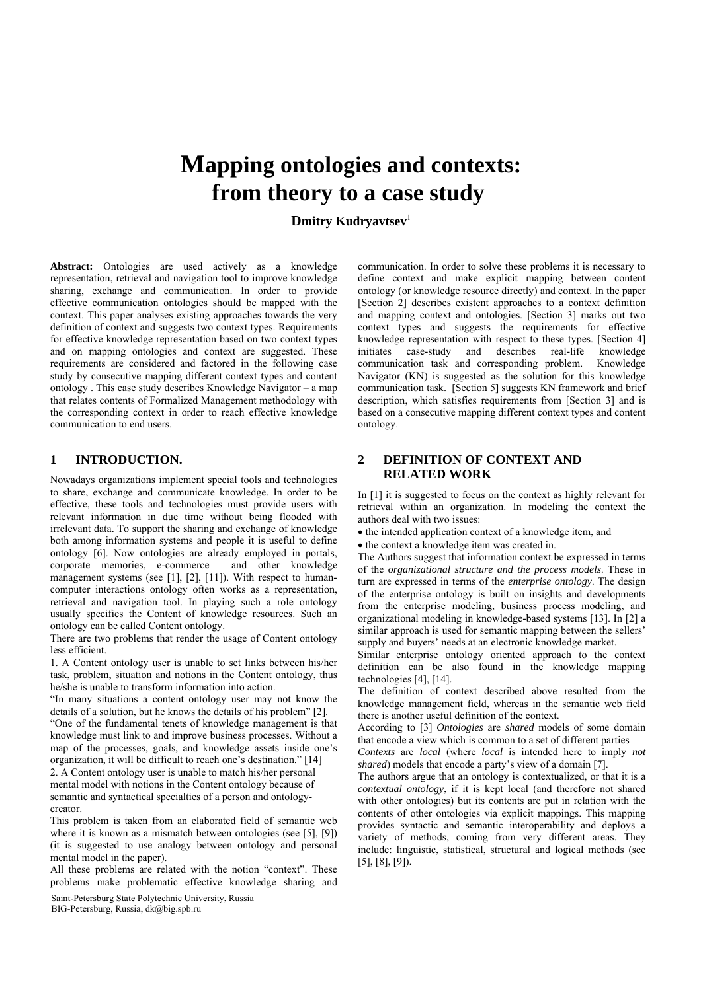# **Mapping ontologies and contexts: from theory to a case study.**

**Dmitry Kudryavtsev**<sup>1</sup>

Abstract: Ontologies are used actively as a knowledge representation, retrieval and navigation tool to improve knowledge sharing, exchange and communication. In order to provide effective communication ontologies should be mapped with the context. This paper analyses existing approaches towards the very definition of context and suggests two context types. Requirements for effective knowledge representation based on two context types and on mapping ontologies and context are suggested. These requirements are considered and factored in the following case study by consecutive mapping different context types and content ontology . This case study describes Knowledge Navigator – a map that relates contents of Formalized Management methodology with the corresponding context in order to reach effective knowledge communication to end users.

#### **1 INTRODUCTION.**

Nowadays organizations implement special tools and technologies to share, exchange and communicate knowledge. In order to be effective, these tools and technologies must provide users with relevant information in due time without being flooded with irrelevant data. To support the sharing and exchange of knowledge both among information systems and people it is useful to define ontology [6]. Now ontologies are already employed in portals, corporate memories, e-commerce and other knowledge management systems (see [1], [2], [11]). With respect to humancomputer interactions ontology often works as a representation, retrieval and navigation tool. In playing such a role ontology usually specifies the Content of knowledge resources. Such an ontology can be called Content ontology.

There are two problems that render the usage of Content ontology less efficient.

1. A Content ontology user is unable to set links between his/her task, problem, situation and notions in the Content ontology, thus he/she is unable to transform information into action.

"In many situations a content ontology user may not know the details of a solution, but he knows the details of his problem" [2].

"One of the fundamental tenets of knowledge management is that knowledge must link to and improve business processes. Without a map of the processes, goals, and knowledge assets inside one's organization, it will be difficult to reach one's destination." [14]

2. A Content ontology user is unable to match his/her personal mental model with notions in the Content ontology because of semantic and syntactical specialties of a person and ontologycreator.

This problem is taken from an elaborated field of semantic web where it is known as a mismatch between ontologies (see [5], [9]) (it is suggested to use analogy between ontology and personal mental model in the paper).

All these problems are related with the notion "context". These problems make problematic effective knowledge sharing and

Saint-Petersburg State Polytechnic University, Russia BIG-Petersburg, Russia, dk@big.spb.ru

communication. In order to solve these problems it is necessary to define context and make explicit mapping between content ontology (or knowledge resource directly) and context. In the paper [Section 2] describes existent approaches to a context definition and mapping context and ontologies. [Section 3] marks out two context types and suggests the requirements for effective knowledge representation with respect to these types. [Section 4] initiates case-study and describes real-life knowledge communication task and corresponding problem. Knowledge Navigator (KN) is suggested as the solution for this knowledge communication task. [Section 5] suggests KN framework and brief description, which satisfies requirements from [Section 3] and is based on a consecutive mapping different context types and content ontology.

# **2 DEFINITION OF CONTEXT AND RELATED WORK**

In [1] it is suggested to focus on the context as highly relevant for retrieval within an organization. In modeling the context the authors deal with two issues:

• the intended application context of a knowledge item, and

• the context a knowledge item was created in.

The Authors suggest that information context be expressed in terms of the *organizational structure and the process models*. These in turn are expressed in terms of the *enterprise ontology*. The design of the enterprise ontology is built on insights and developments from the enterprise modeling, business process modeling, and organizational modeling in knowledge-based systems [13]. In [2] a similar approach is used for semantic mapping between the sellers' supply and buyers' needs at an electronic knowledge market.

Similar enterprise ontology oriented approach to the context definition can be also found in the knowledge mapping technologies [4], [14].

The definition of context described above resulted from the knowledge management field, whereas in the semantic web field there is another useful definition of the context.

According to [3] *Ontologies* are *shared* models of some domain that encode a view which is common to a set of different parties

*Contexts* are *local* (where *local* is intended here to imply *not shared*) models that encode a party's view of a domain [7].

The authors argue that an ontology is contextualized, or that it is a *contextual ontology*, if it is kept local (and therefore not shared with other ontologies) but its contents are put in relation with the contents of other ontologies via explicit mappings. This mapping provides syntactic and semantic interoperability and deploys a variety of methods, coming from very different areas. They include: linguistic, statistical, structural and logical methods (see [5], [8], [9]).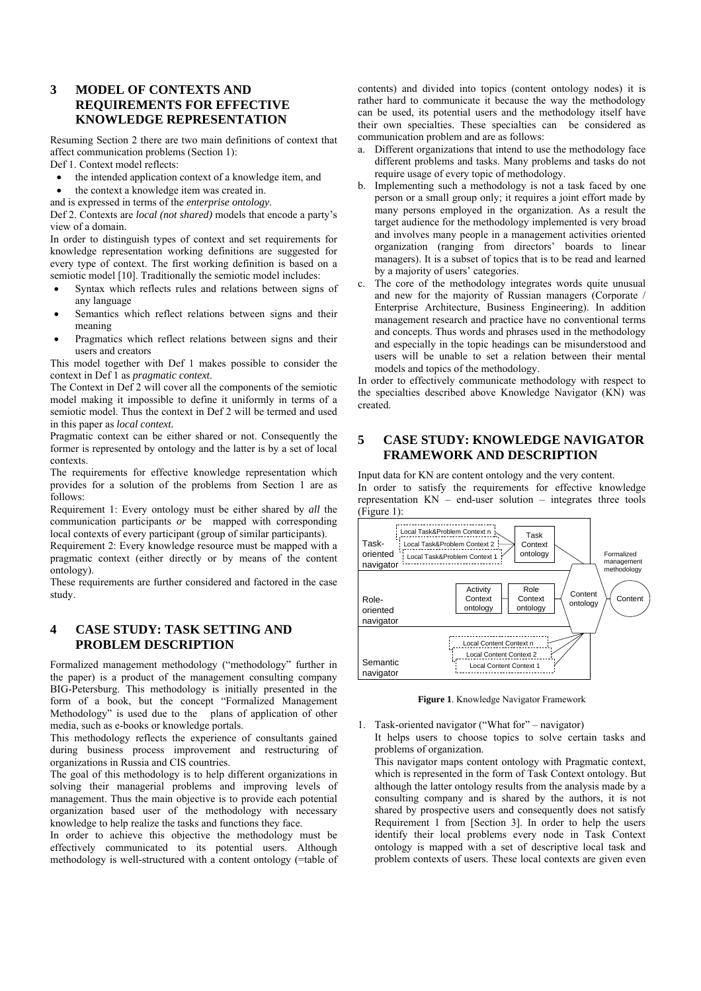# **3 MODEL OF CONTEXTS AND REQUIREMENTS FOR EFFECTIVE KNOWLEDGE REPRESENTATION**

Resuming Section 2 there are two main definitions of context that affect communication problems (Section 1): Def 1. Context model reflects:

- the intended application context of a knowledge item, and
- the context a knowledge item was created in.
- and is expressed in terms of the *enterprise ontology*.

Def 2. Contexts are *local (not shared)* models that encode a party's view of a domain.

In order to distinguish types of context and set requirements for knowledge representation working definitions are suggested for every type of context. The first working definition is based on a semiotic model [10]. Traditionally the semiotic model includes:

- Syntax which reflects rules and relations between signs of any language
- Semantics which reflect relations between signs and their meaning
- Pragmatics which reflect relations between signs and their users and creators

This model together with Def 1 makes possible to consider the context in Def 1 as *pragmatic context*.

The Context in Def 2 will cover all the components of the semiotic model making it impossible to define it uniformly in terms of a semiotic model. Thus the context in Def 2 will be termed and used in this paper as *local context.*

Pragmatic context can be either shared or not. Consequently the former is represented by ontology and the latter is by a set of local contexts.

The requirements for effective knowledge representation which provides for a solution of the problems from Section 1 are as follows:

Requirement 1: Every ontology must be either shared by *all* the communication participants *or* be mapped with corresponding local contexts of every participant (group of similar participants).

Requirement 2: Every knowledge resource must be mapped with a pragmatic context (either directly or by means of the content ontology).

These requirements are further considered and factored in the case study.

# **4 CASE STUDY: TASK SETTING AND PROBLEM DESCRIPTION**

Formalized management methodology ("methodology" further in the paper) is a product of the management consulting company BIG-Petersburg. This methodology is initially presented in the form of a book, but the concept "Formalized Management Methodology" is used due to the plans of application of other media, such as e-books or knowledge portals.

This methodology reflects the experience of consultants gained during business process improvement and restructuring of organizations in Russia and CIS countries.

The goal of this methodology is to help different organizations in solving their managerial problems and improving levels of management. Thus the main objective is to provide each potential organization based user of the methodology with necessary knowledge to help realize the tasks and functions they face.

In order to achieve this objective the methodology must be effectively communicated to its potential users. Although methodology is well-structured with a content ontology (=table of contents) and divided into topics (content ontology nodes) it is rather hard to communicate it because the way the methodology can be used, its potential users and the methodology itself have their own specialties. These specialties can be considered as communication problem and are as follows:

- a. Different organizations that intend to use the methodology face different problems and tasks. Many problems and tasks do not require usage of every topic of methodology.
- b. Implementing such a methodology is not a task faced by one person or a small group only; it requires a joint effort made by many persons employed in the organization. As a result the target audience for the methodology implemented is very broad and involves many people in a management activities oriented organization (ranging from directors' boards to linear managers). It is a subset of topics that is to be read and learned by a majority of users' categories.
- c. The core of the methodology integrates words quite unusual and new for the majority of Russian managers (Corporate / Enterprise Architecture, Business Engineering). In addition management research and practice have no conventional terms and concepts. Thus words and phrases used in the methodology and especially in the topic headings can be misunderstood and users will be unable to set a relation between their mental models and topics of the methodology.

In order to effectively communicate methodology with respect to the specialties described above Knowledge Navigator (KN) was created.

### **5 CASE STUDY: KNOWLEDGE NAVIGATOR FRAMEWORK AND DESCRIPTION**

Input data for KN are content ontology and the very content. In order to satisfy the requirements for effective knowledge representation KN – end-user solution – integrates three tools (Figure 1):



**Figure 1**. Knowledge Navigator Framework

1. Task-oriented navigator ("What for" – navigator) It helps users to choose topics to solve certain tasks and problems of organization.

This navigator maps content ontology with Pragmatic context, which is represented in the form of Task Context ontology. But although the latter ontology results from the analysis made by a consulting company and is shared by the authors, it is not shared by prospective users and consequently does not satisfy Requirement 1 from [Section 3]. In order to help the users identify their local problems every node in Task Context ontology is mapped with a set of descriptive local task and problem contexts of users. These local contexts are given even